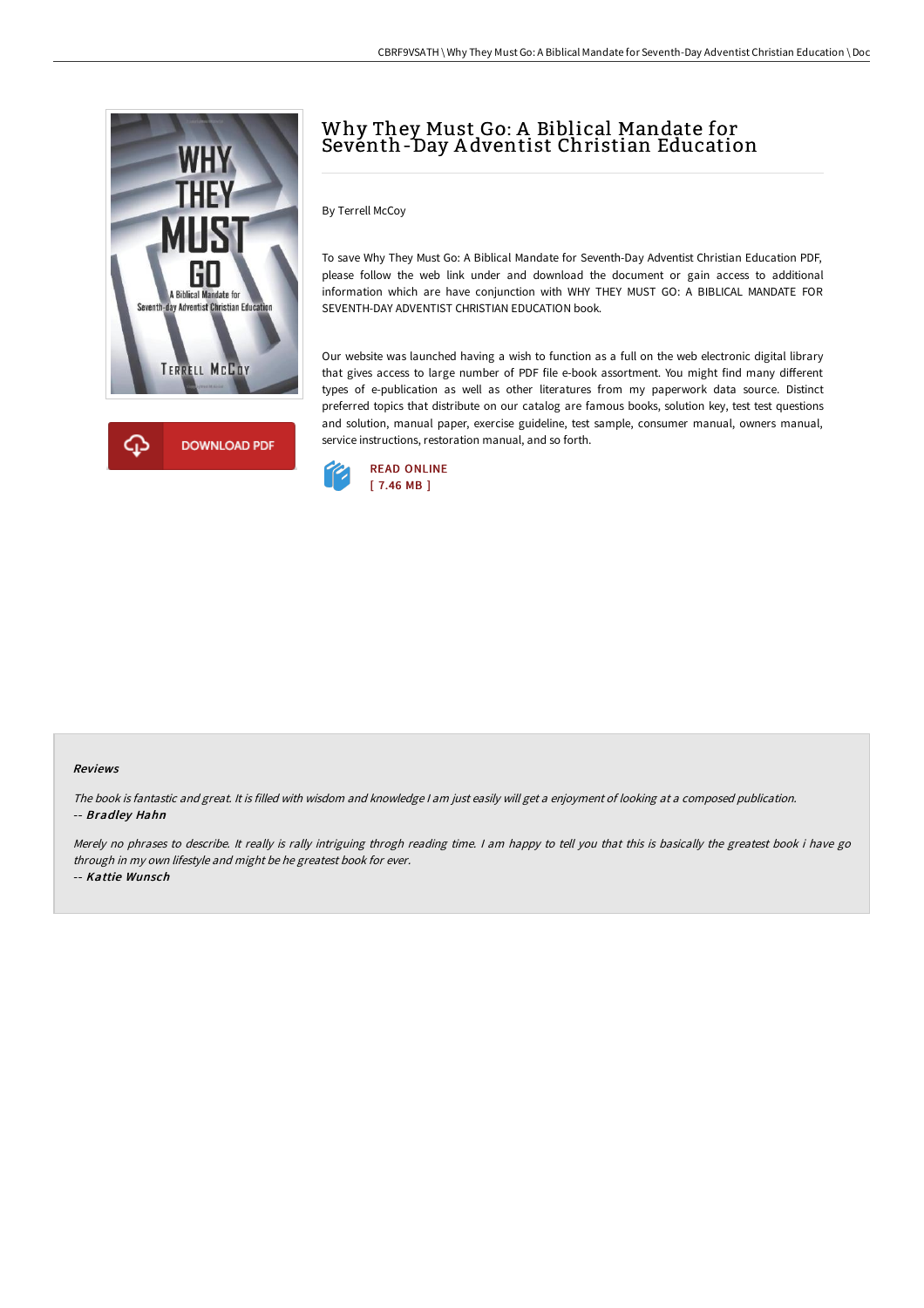



# Why They Must Go: A Biblical Mandate for Seventh-Day A dventist Christian Education

By Terrell McCoy

To save Why They Must Go: A Biblical Mandate for Seventh-Day Adventist Christian Education PDF, please follow the web link under and download the document or gain access to additional information which are have conjunction with WHY THEY MUST GO: A BIBLICAL MANDATE FOR SEVENTH-DAY ADVENTIST CHRISTIAN EDUCATION book.

Our website was launched having a wish to function as a full on the web electronic digital library that gives access to large number of PDF file e-book assortment. You might find many different types of e-publication as well as other literatures from my paperwork data source. Distinct preferred topics that distribute on our catalog are famous books, solution key, test test questions and solution, manual paper, exercise guideline, test sample, consumer manual, owners manual, service instructions, restoration manual, and so forth.



#### Reviews

The book is fantastic and great. It is filled with wisdom and knowledge <sup>I</sup> am just easily will get <sup>a</sup> enjoyment of looking at <sup>a</sup> composed publication. -- Bradley Hahn

Merely no phrases to describe. It really is rally intriguing throgh reading time. I am happy to tell you that this is basically the greatest book i have go through in my own lifestyle and might be he greatest book for ever. -- Kattie Wunsch